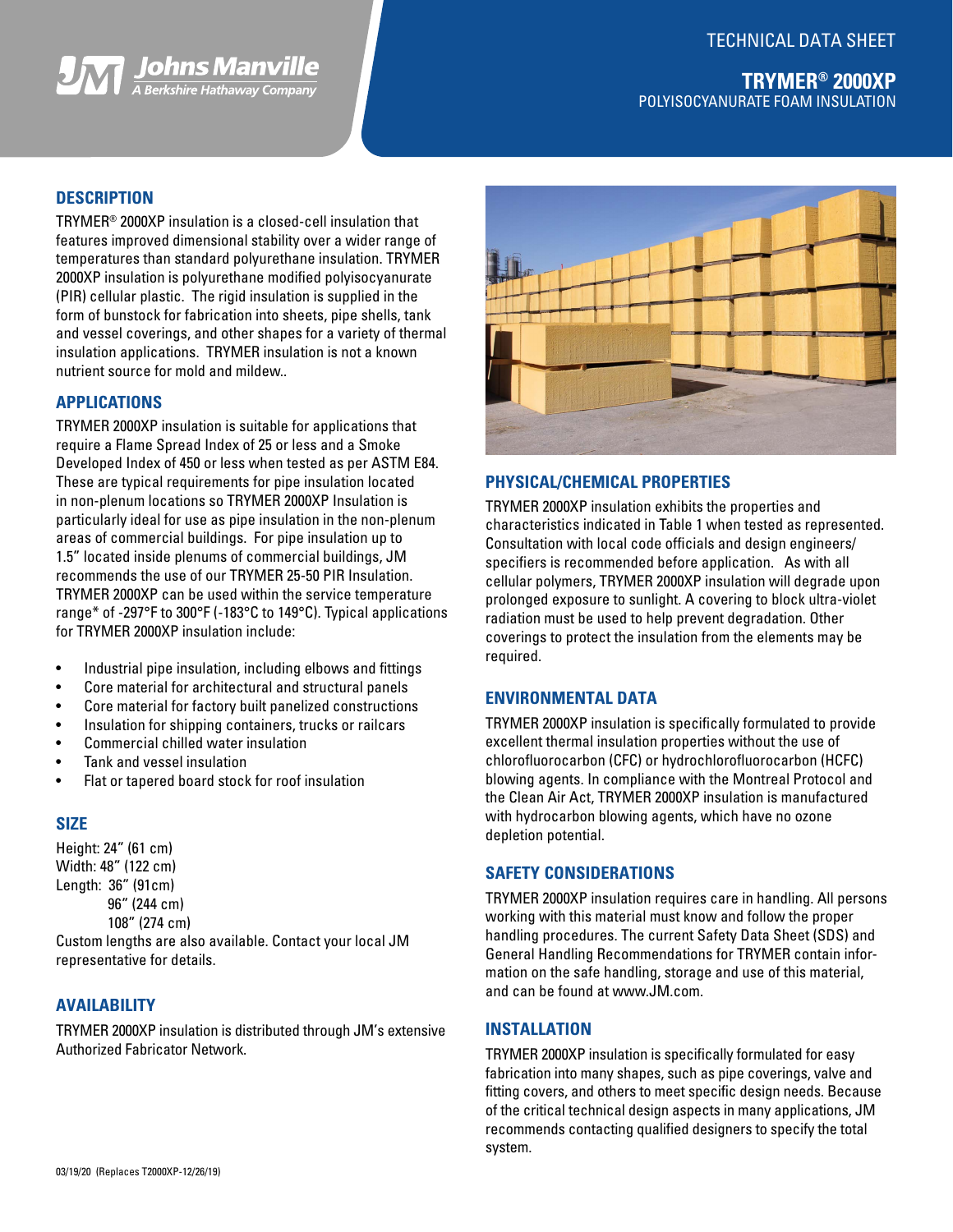# TECHNICAL DATA SHEET



## **DESCRIPTION**

TRYMER® 2000XP insulation is a closed-cell insulation that features improved dimensional stability over a wider range of temperatures than standard polyurethane insulation. TRYMER 2000XP insulation is polyurethane modified polyisocyanurate (PIR) cellular plastic. The rigid insulation is supplied in the form of bunstock for fabrication into sheets, pipe shells, tank and vessel coverings, and other shapes for a variety of thermal insulation applications. TRYMER insulation is not a known nutrient source for mold and mildew..

## **APPLICATIONS**

TRYMER 2000XP insulation is suitable for applications that require a Flame Spread Index of 25 or less and a Smoke Developed Index of 450 or less when tested as per ASTM E84. These are typical requirements for pipe insulation located in non-plenum locations so TRYMER 2000XP Insulation is particularly ideal for use as pipe insulation in the non-plenum areas of commercial buildings. For pipe insulation up to 1.5" located inside plenums of commercial buildings, JM recommends the use of our TRYMER 25-50 PIR Insulation. TRYMER 2000XP can be used within the service temperature range\* of -297°F to 300°F (-183°C to 149°C). Typical applications for TRYMER 2000XP insulation include:

- Industrial pipe insulation, including elbows and fittings
- Core material for architectural and structural panels
- Core material for factory built panelized constructions
- Insulation for shipping containers, trucks or railcars
- Commercial chilled water insulation
- Tank and vessel insulation
- Flat or tapered board stock for roof insulation

## **SIZE**

Height: 24" (61 cm) Width: 48" (122 cm) Length: 36" (91cm) 96" (244 cm) 108" (274 cm) Custom lengths are also available. Contact your local JM

## **AVAILABILITY**

representative for details.

TRYMER 2000XP insulation is distributed through JM's extensive Authorized Fabricator Network.



#### **PHYSICAL/CHEMICAL PROPERTIES**

TRYMER 2000XP insulation exhibits the properties and characteristics indicated in Table 1 when tested as represented. Consultation with local code officials and design engineers/ specifiers is recommended before application. As with all cellular polymers, TRYMER 2000XP insulation will degrade upon prolonged exposure to sunlight. A covering to block ultra-violet radiation must be used to help prevent degradation. Other coverings to protect the insulation from the elements may be required.

#### **ENVIRONMENTAL DATA**

TRYMER 2000XP insulation is specifically formulated to provide excellent thermal insulation properties without the use of chlorofluorocarbon (CFC) or hydrochlorofluorocarbon (HCFC) blowing agents. In compliance with the Montreal Protocol and the Clean Air Act, TRYMER 2000XP insulation is manufactured with hydrocarbon blowing agents, which have no ozone depletion potential.

## **SAFETY CONSIDERATIONS**

TRYMER 2000XP insulation requires care in handling. All persons working with this material must know and follow the proper handling procedures. The current Safety Data Sheet (SDS) and General Handling Recommendations for TRYMER contain information on the safe handling, storage and use of this material, and can be found at www.JM.com.

## **INSTALLATION**

TRYMER 2000XP insulation is specifically formulated for easy fabrication into many shapes, such as pipe coverings, valve and fitting covers, and others to meet specific design needs. Because of the critical technical design aspects in many applications, JM recommends contacting qualified designers to specify the total system.